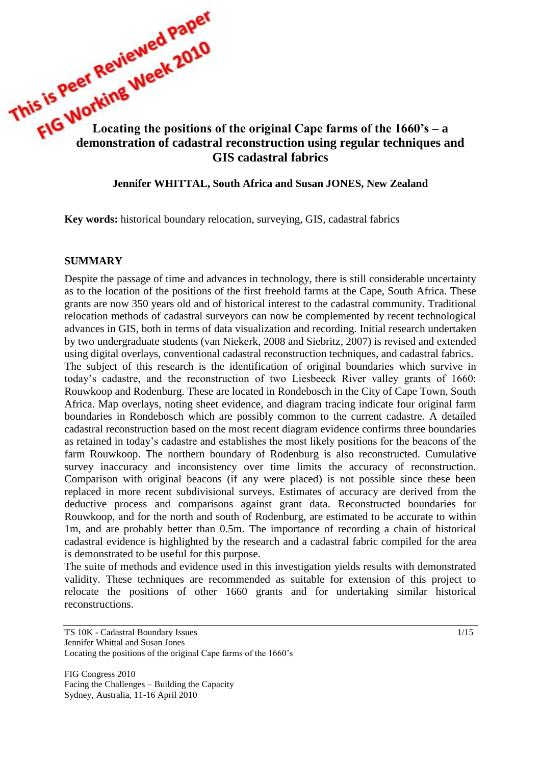

#### **Jennifer WHITTAL, South Africa and Susan JONES, New Zealand**

**Key words:** historical boundary relocation, surveying, GIS, cadastral fabrics

#### **SUMMARY**

Despite the passage of time and advances in technology, there is still considerable uncertainty as to the location of the positions of the first freehold farms at the Cape, South Africa. These grants are now 350 years old and of historical interest to the cadastral community. Traditional relocation methods of cadastral surveyors can now be complemented by recent technological advances in GIS, both in terms of data visualization and recording. Initial research undertaken by two undergraduate students (van Niekerk, 2008 and Siebritz, 2007) is revised and extended using digital overlays, conventional cadastral reconstruction techniques, and cadastral fabrics. The subject of this research is the identification of original boundaries which survive in today's cadastre, and the reconstruction of two Liesbeeck River valley grants of 1660: Rouwkoop and Rodenburg. These are located in Rondebosch in the City of Cape Town, South Africa. Map overlays, noting sheet evidence, and diagram tracing indicate four original farm boundaries in Rondebosch which are possibly common to the current cadastre. A detailed cadastral reconstruction based on the most recent diagram evidence confirms three boundaries as retained in today's cadastre and establishes the most likely positions for the beacons of the farm Rouwkoop. The northern boundary of Rodenburg is also reconstructed. Cumulative survey inaccuracy and inconsistency over time limits the accuracy of reconstruction. Comparison with original beacons (if any were placed) is not possible since these been replaced in more recent subdivisional surveys. Estimates of accuracy are derived from the deductive process and comparisons against grant data. Reconstructed boundaries for Rouwkoop, and for the north and south of Rodenburg, are estimated to be accurate to within 1m, and are probably better than 0.5m. The importance of recording a chain of historical cadastral evidence is highlighted by the research and a cadastral fabric compiled for the area is demonstrated to be useful for this purpose.

The suite of methods and evidence used in this investigation yields results with demonstrated validity. These techniques are recommended as suitable for extension of this project to relocate the positions of other 1660 grants and for undertaking similar historical reconstructions.

TS 10K - Cadastral Boundary Issues 1/15 Jennifer Whittal and Susan Jones Locating the positions of the original Cape farms of the 1660's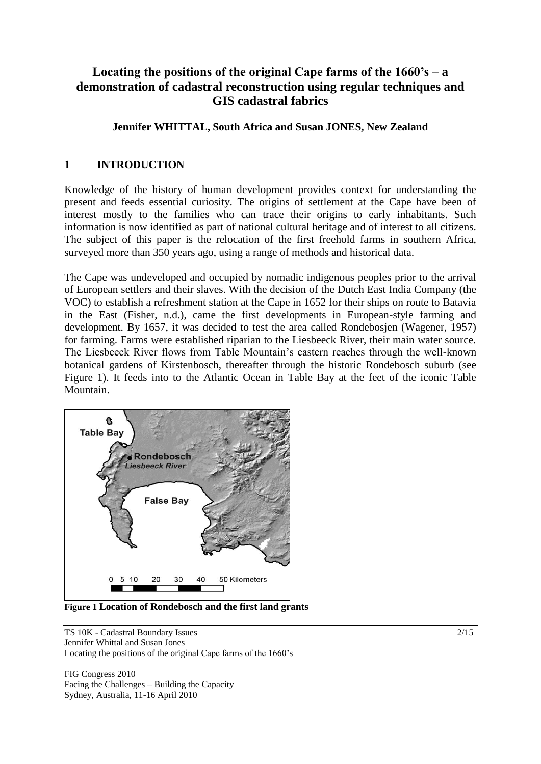# **Locating the positions of the original Cape farms of the 1660's – a demonstration of cadastral reconstruction using regular techniques and GIS cadastral fabrics**

#### **Jennifer WHITTAL, South Africa and Susan JONES, New Zealand**

## **1 INTRODUCTION**

Knowledge of the history of human development provides context for understanding the present and feeds essential curiosity. The origins of settlement at the Cape have been of interest mostly to the families who can trace their origins to early inhabitants. Such information is now identified as part of national cultural heritage and of interest to all citizens. The subject of this paper is the relocation of the first freehold farms in southern Africa, surveyed more than 350 years ago, using a range of methods and historical data.

The Cape was undeveloped and occupied by nomadic indigenous peoples prior to the arrival of European settlers and their slaves. With the decision of the Dutch East India Company (the VOC) to establish a refreshment station at the Cape in 1652 for their ships on route to Batavia in the East (Fisher, n.d.), came the first developments in European-style farming and development. By 1657, it was decided to test the area called Rondebosjen (Wagener, 1957) for farming. Farms were established riparian to the Liesbeeck River, their main water source. The Liesbeeck River flows from Table Mountain's eastern reaches through the well-known botanical gardens of Kirstenbosch, thereafter through the historic Rondebosch suburb (see Figure 1). It feeds into to the Atlantic Ocean in Table Bay at the feet of the iconic Table Mountain.



**Figure 1 Location of Rondebosch and the first land grants**

TS 10K - Cadastral Boundary Issues 2/15 Jennifer Whittal and Susan Jones Locating the positions of the original Cape farms of the 1660's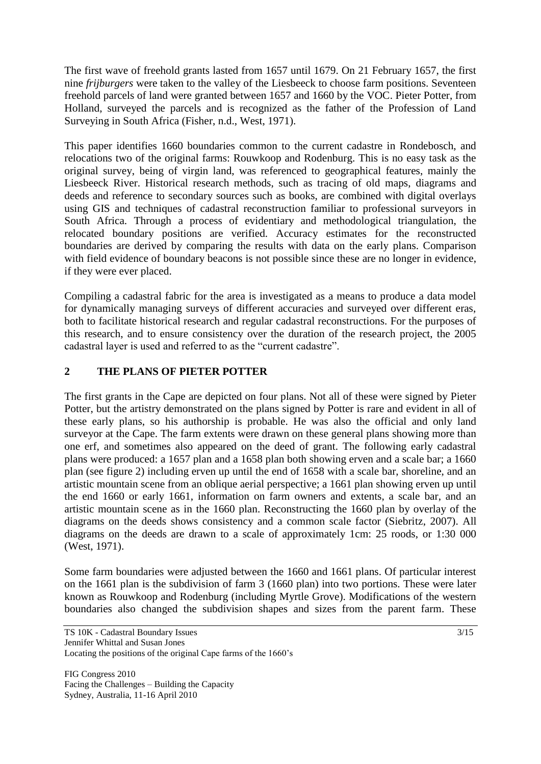The first wave of freehold grants lasted from 1657 until 1679. On 21 February 1657, the first nine *frijburgers* were taken to the valley of the Liesbeeck to choose farm positions. Seventeen freehold parcels of land were granted between 1657 and 1660 by the VOC. Pieter Potter, from Holland, surveyed the parcels and is recognized as the father of the Profession of Land Surveying in South Africa (Fisher, n.d., West, 1971).

This paper identifies 1660 boundaries common to the current cadastre in Rondebosch, and relocations two of the original farms: Rouwkoop and Rodenburg. This is no easy task as the original survey, being of virgin land, was referenced to geographical features, mainly the Liesbeeck River. Historical research methods, such as tracing of old maps, diagrams and deeds and reference to secondary sources such as books, are combined with digital overlays using GIS and techniques of cadastral reconstruction familiar to professional surveyors in South Africa. Through a process of evidentiary and methodological triangulation, the relocated boundary positions are verified. Accuracy estimates for the reconstructed boundaries are derived by comparing the results with data on the early plans. Comparison with field evidence of boundary beacons is not possible since these are no longer in evidence, if they were ever placed.

Compiling a cadastral fabric for the area is investigated as a means to produce a data model for dynamically managing surveys of different accuracies and surveyed over different eras, both to facilitate historical research and regular cadastral reconstructions. For the purposes of this research, and to ensure consistency over the duration of the research project, the 2005 cadastral layer is used and referred to as the "current cadastre".

## **2 THE PLANS OF PIETER POTTER**

The first grants in the Cape are depicted on four plans. Not all of these were signed by Pieter Potter, but the artistry demonstrated on the plans signed by Potter is rare and evident in all of these early plans, so his authorship is probable. He was also the official and only land surveyor at the Cape. The farm extents were drawn on these general plans showing more than one erf, and sometimes also appeared on the deed of grant. The following early cadastral plans were produced: a 1657 plan and a 1658 plan both showing erven and a scale bar; a 1660 plan (see figure 2) including erven up until the end of 1658 with a scale bar, shoreline, and an artistic mountain scene from an oblique aerial perspective; a 1661 plan showing erven up until the end 1660 or early 1661, information on farm owners and extents, a scale bar, and an artistic mountain scene as in the 1660 plan. Reconstructing the 1660 plan by overlay of the diagrams on the deeds shows consistency and a common scale factor (Siebritz, 2007). All diagrams on the deeds are drawn to a scale of approximately 1cm: 25 roods, or 1:30 000 (West, 1971).

Some farm boundaries were adjusted between the 1660 and 1661 plans. Of particular interest on the 1661 plan is the subdivision of farm 3 (1660 plan) into two portions. These were later known as Rouwkoop and Rodenburg (including Myrtle Grove). Modifications of the western boundaries also changed the subdivision shapes and sizes from the parent farm. These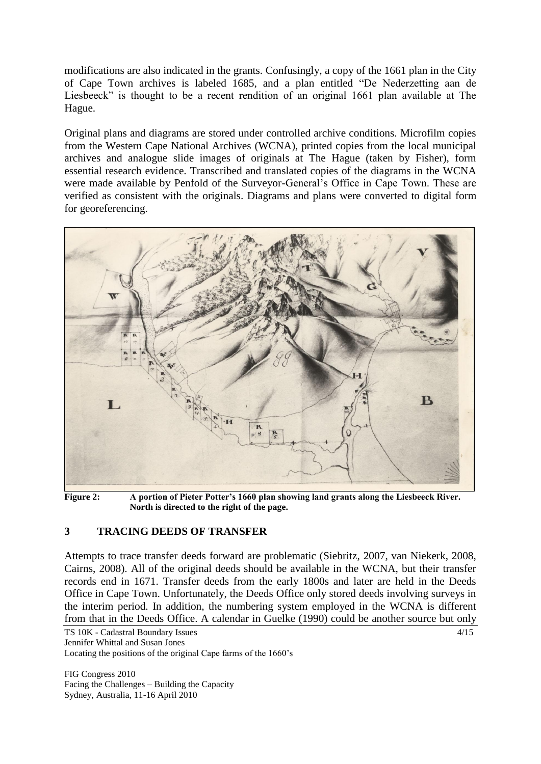modifications are also indicated in the grants. Confusingly, a copy of the 1661 plan in the City of Cape Town archives is labeled 1685, and a plan entitled "De Nederzetting aan de Liesbeeck" is thought to be a recent rendition of an original 1661 plan available at The Hague.

Original plans and diagrams are stored under controlled archive conditions. Microfilm copies from the Western Cape National Archives (WCNA), printed copies from the local municipal archives and analogue slide images of originals at The Hague (taken by Fisher), form essential research evidence. Transcribed and translated copies of the diagrams in the WCNA were made available by Penfold of the Surveyor-General's Office in Cape Town. These are verified as consistent with the originals. Diagrams and plans were converted to digital form for georeferencing.



**Figure 2: A portion of Pieter Potter's 1660 plan showing land grants along the Liesbeeck River. North is directed to the right of the page.**

## **3 TRACING DEEDS OF TRANSFER**

Attempts to trace transfer deeds forward are problematic (Siebritz, 2007, van Niekerk, 2008, Cairns, 2008). All of the original deeds should be available in the WCNA, but their transfer records end in 1671. Transfer deeds from the early 1800s and later are held in the Deeds Office in Cape Town. Unfortunately, the Deeds Office only stored deeds involving surveys in the interim period. In addition, the numbering system employed in the WCNA is different from that in the Deeds Office. A calendar in Guelke (1990) could be another source but only

TS 10K - Cadastral Boundary Issues 4/15 Jennifer Whittal and Susan Jones

Locating the positions of the original Cape farms of the 1660's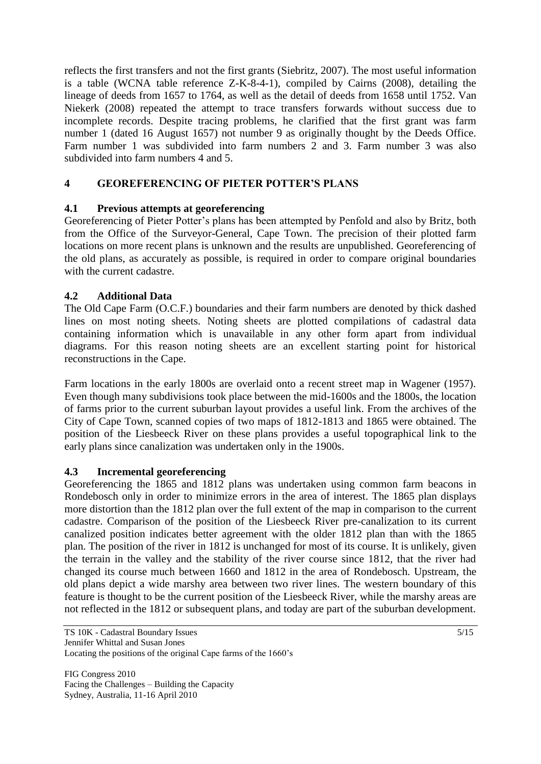reflects the first transfers and not the first grants (Siebritz, 2007). The most useful information is a table (WCNA table reference Z-K-8-4-1), compiled by Cairns (2008), detailing the lineage of deeds from 1657 to 1764, as well as the detail of deeds from 1658 until 1752. Van Niekerk (2008) repeated the attempt to trace transfers forwards without success due to incomplete records. Despite tracing problems, he clarified that the first grant was farm number 1 (dated 16 August 1657) not number 9 as originally thought by the Deeds Office. Farm number 1 was subdivided into farm numbers 2 and 3. Farm number 3 was also subdivided into farm numbers 4 and 5.

## **4 GEOREFERENCING OF PIETER POTTER'S PLANS**

## **4.1 Previous attempts at georeferencing**

Georeferencing of Pieter Potter's plans has been attempted by Penfold and also by Britz, both from the Office of the Surveyor-General, Cape Town. The precision of their plotted farm locations on more recent plans is unknown and the results are unpublished. Georeferencing of the old plans, as accurately as possible, is required in order to compare original boundaries with the current cadastre.

## **4.2 Additional Data**

The Old Cape Farm (O.C.F.) boundaries and their farm numbers are denoted by thick dashed lines on most noting sheets. Noting sheets are plotted compilations of cadastral data containing information which is unavailable in any other form apart from individual diagrams. For this reason noting sheets are an excellent starting point for historical reconstructions in the Cape.

Farm locations in the early 1800s are overlaid onto a recent street map in Wagener (1957). Even though many subdivisions took place between the mid-1600s and the 1800s, the location of farms prior to the current suburban layout provides a useful link. From the archives of the City of Cape Town, scanned copies of two maps of 1812-1813 and 1865 were obtained. The position of the Liesbeeck River on these plans provides a useful topographical link to the early plans since canalization was undertaken only in the 1900s.

## **4.3 Incremental georeferencing**

Georeferencing the 1865 and 1812 plans was undertaken using common farm beacons in Rondebosch only in order to minimize errors in the area of interest. The 1865 plan displays more distortion than the 1812 plan over the full extent of the map in comparison to the current cadastre. Comparison of the position of the Liesbeeck River pre-canalization to its current canalized position indicates better agreement with the older 1812 plan than with the 1865 plan. The position of the river in 1812 is unchanged for most of its course. It is unlikely, given the terrain in the valley and the stability of the river course since 1812, that the river had changed its course much between 1660 and 1812 in the area of Rondebosch. Upstream, the old plans depict a wide marshy area between two river lines. The western boundary of this feature is thought to be the current position of the Liesbeeck River, while the marshy areas are not reflected in the 1812 or subsequent plans, and today are part of the suburban development.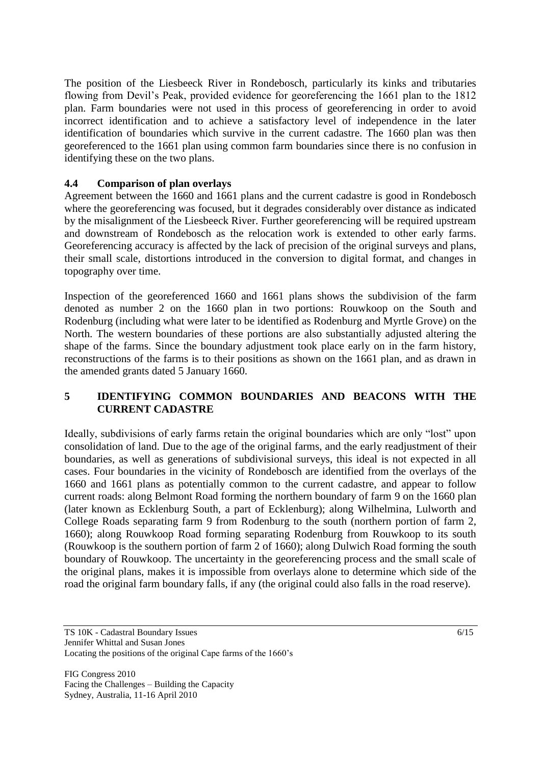The position of the Liesbeeck River in Rondebosch, particularly its kinks and tributaries flowing from Devil's Peak, provided evidence for georeferencing the 1661 plan to the 1812 plan. Farm boundaries were not used in this process of georeferencing in order to avoid incorrect identification and to achieve a satisfactory level of independence in the later identification of boundaries which survive in the current cadastre. The 1660 plan was then georeferenced to the 1661 plan using common farm boundaries since there is no confusion in identifying these on the two plans.

#### **4.4 Comparison of plan overlays**

Agreement between the 1660 and 1661 plans and the current cadastre is good in Rondebosch where the georeferencing was focused, but it degrades considerably over distance as indicated by the misalignment of the Liesbeeck River. Further georeferencing will be required upstream and downstream of Rondebosch as the relocation work is extended to other early farms. Georeferencing accuracy is affected by the lack of precision of the original surveys and plans, their small scale, distortions introduced in the conversion to digital format, and changes in topography over time.

Inspection of the georeferenced 1660 and 1661 plans shows the subdivision of the farm denoted as number 2 on the 1660 plan in two portions: Rouwkoop on the South and Rodenburg (including what were later to be identified as Rodenburg and Myrtle Grove) on the North. The western boundaries of these portions are also substantially adjusted altering the shape of the farms. Since the boundary adjustment took place early on in the farm history, reconstructions of the farms is to their positions as shown on the 1661 plan, and as drawn in the amended grants dated 5 January 1660.

## **5 IDENTIFYING COMMON BOUNDARIES AND BEACONS WITH THE CURRENT CADASTRE**

Ideally, subdivisions of early farms retain the original boundaries which are only "lost" upon consolidation of land. Due to the age of the original farms, and the early readjustment of their boundaries, as well as generations of subdivisional surveys, this ideal is not expected in all cases. Four boundaries in the vicinity of Rondebosch are identified from the overlays of the 1660 and 1661 plans as potentially common to the current cadastre, and appear to follow current roads: along Belmont Road forming the northern boundary of farm 9 on the 1660 plan (later known as Ecklenburg South, a part of Ecklenburg); along Wilhelmina, Lulworth and College Roads separating farm 9 from Rodenburg to the south (northern portion of farm 2, 1660); along Rouwkoop Road forming separating Rodenburg from Rouwkoop to its south (Rouwkoop is the southern portion of farm 2 of 1660); along Dulwich Road forming the south boundary of Rouwkoop. The uncertainty in the georeferencing process and the small scale of the original plans, makes it is impossible from overlays alone to determine which side of the road the original farm boundary falls, if any (the original could also falls in the road reserve).

TS 10K - Cadastral Boundary Issues 6/15 Jennifer Whittal and Susan Jones Locating the positions of the original Cape farms of the 1660's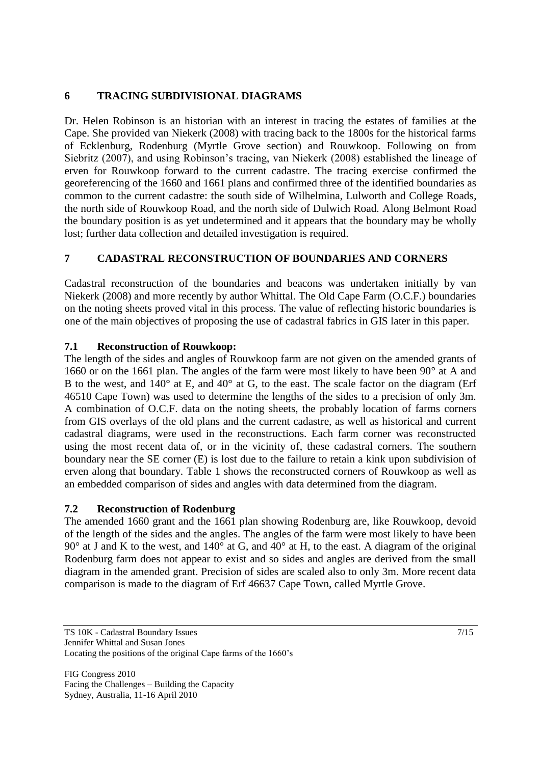## **6 TRACING SUBDIVISIONAL DIAGRAMS**

Dr. Helen Robinson is an historian with an interest in tracing the estates of families at the Cape. She provided van Niekerk (2008) with tracing back to the 1800s for the historical farms of Ecklenburg, Rodenburg (Myrtle Grove section) and Rouwkoop. Following on from Siebritz (2007), and using Robinson's tracing, van Niekerk (2008) established the lineage of erven for Rouwkoop forward to the current cadastre. The tracing exercise confirmed the georeferencing of the 1660 and 1661 plans and confirmed three of the identified boundaries as common to the current cadastre: the south side of Wilhelmina, Lulworth and College Roads, the north side of Rouwkoop Road, and the north side of Dulwich Road. Along Belmont Road the boundary position is as yet undetermined and it appears that the boundary may be wholly lost; further data collection and detailed investigation is required.

## **7 CADASTRAL RECONSTRUCTION OF BOUNDARIES AND CORNERS**

Cadastral reconstruction of the boundaries and beacons was undertaken initially by van Niekerk (2008) and more recently by author Whittal. The Old Cape Farm (O.C.F.) boundaries on the noting sheets proved vital in this process. The value of reflecting historic boundaries is one of the main objectives of proposing the use of cadastral fabrics in GIS later in this paper.

## **7.1 Reconstruction of Rouwkoop:**

The length of the sides and angles of Rouwkoop farm are not given on the amended grants of 1660 or on the 1661 plan. The angles of the farm were most likely to have been 90° at A and B to the west, and 140° at E, and 40° at G, to the east. The scale factor on the diagram (Erf 46510 Cape Town) was used to determine the lengths of the sides to a precision of only 3m. A combination of O.C.F. data on the noting sheets, the probably location of farms corners from GIS overlays of the old plans and the current cadastre, as well as historical and current cadastral diagrams, were used in the reconstructions. Each farm corner was reconstructed using the most recent data of, or in the vicinity of, these cadastral corners. The southern boundary near the SE corner (E) is lost due to the failure to retain a kink upon subdivision of erven along that boundary. [Table 1](#page-7-0) shows the reconstructed corners of Rouwkoop as well as an embedded comparison of sides and angles with data determined from the diagram.

## **7.2 Reconstruction of Rodenburg**

The amended 1660 grant and the 1661 plan showing Rodenburg are, like Rouwkoop, devoid of the length of the sides and the angles. The angles of the farm were most likely to have been  $90^\circ$  at J and K to the west, and  $140^\circ$  at G, and  $40^\circ$  at H, to the east. A diagram of the original Rodenburg farm does not appear to exist and so sides and angles are derived from the small diagram in the amended grant. Precision of sides are scaled also to only 3m. More recent data comparison is made to the diagram of Erf 46637 Cape Town, called Myrtle Grove.

TS 10K - Cadastral Boundary Issues 7/15 Jennifer Whittal and Susan Jones Locating the positions of the original Cape farms of the 1660's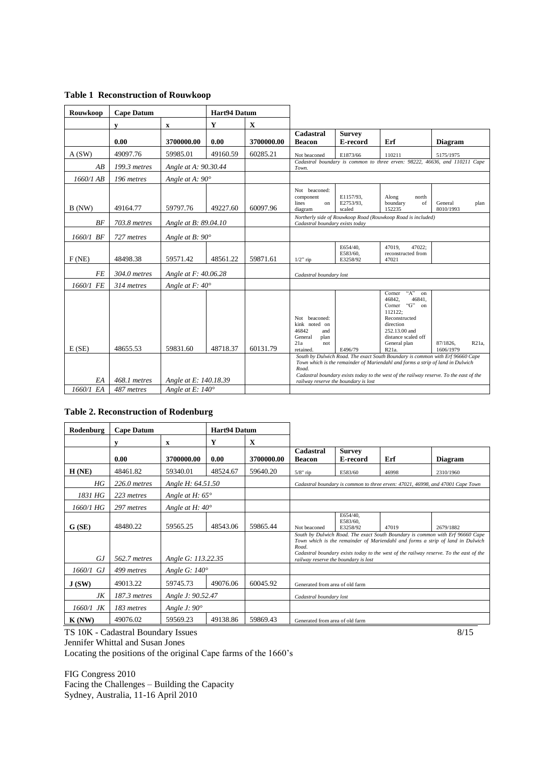<span id="page-7-0"></span>

|  | <b>Table 1 Reconstruction of Rouwkoop</b> |
|--|-------------------------------------------|
|--|-------------------------------------------|

| Rouwkoop    | <b>Cape Datum</b> |                         | Hart94 Datum |            |                                                                                                       |                                                                            |                                                                                                                                                                                                                                                                                                                                                                                                                                                 |                                |  |
|-------------|-------------------|-------------------------|--------------|------------|-------------------------------------------------------------------------------------------------------|----------------------------------------------------------------------------|-------------------------------------------------------------------------------------------------------------------------------------------------------------------------------------------------------------------------------------------------------------------------------------------------------------------------------------------------------------------------------------------------------------------------------------------------|--------------------------------|--|
|             | y                 | $\mathbf X$             | Y            | X          |                                                                                                       |                                                                            |                                                                                                                                                                                                                                                                                                                                                                                                                                                 |                                |  |
|             |                   |                         |              |            | Cadastral                                                                                             | <b>Survey</b>                                                              |                                                                                                                                                                                                                                                                                                                                                                                                                                                 |                                |  |
|             | 0.00              | 3700000.00              | 0.00         | 3700000.00 | <b>Beacon</b>                                                                                         | E-record                                                                   | Erf                                                                                                                                                                                                                                                                                                                                                                                                                                             | <b>Diagram</b>                 |  |
| A(SW)       | 49097.76          | 59985.01                | 49160.59     | 60285.21   | Not beaconed                                                                                          | E1873/66                                                                   | 110211                                                                                                                                                                                                                                                                                                                                                                                                                                          | 5175/1975                      |  |
| AB          | 199.3 metres      | Angle at A: 90.30.44    |              |            | Town.                                                                                                 | Cadastral boundary is common to three erven: 98222, 46636, and 110211 Cape |                                                                                                                                                                                                                                                                                                                                                                                                                                                 |                                |  |
| $1660/1$ AB | 196 metres        | Angle at A: 90°         |              |            |                                                                                                       |                                                                            |                                                                                                                                                                                                                                                                                                                                                                                                                                                 |                                |  |
| B(NW)       | 49164.77          | 59797.76                | 49227.60     | 60097.96   | Not beaconed:<br>component<br>lines<br>on<br>diagram                                                  | E1157/93.<br>E2753/93,<br>scaled                                           | Along<br>north<br>boundary<br>of<br>152235                                                                                                                                                                                                                                                                                                                                                                                                      | General<br>plan<br>8010/1993   |  |
| BF          | 703.8 metres      | Angle at B: 89.04.10    |              |            | Cadastral boundary exists today                                                                       | Northerly side of Rouwkoop Road (Rouwkoop Road is included)                |                                                                                                                                                                                                                                                                                                                                                                                                                                                 |                                |  |
| 1660/1 BF   | 727 metres        | Angle at B: $90^\circ$  |              |            |                                                                                                       |                                                                            |                                                                                                                                                                                                                                                                                                                                                                                                                                                 |                                |  |
| F(NE)       | 48498.38          | 59571.42                | 48561.22     | 59871.61   | $1/2$ " rip                                                                                           | E654/40,<br>E583/60,<br>E3258/92                                           | 47019.<br>47022:<br>reconstructed from<br>47021                                                                                                                                                                                                                                                                                                                                                                                                 |                                |  |
| <b>FE</b>   | 304.0 metres      | Angle at F: 40.06.28    |              |            | Cadastral boundary lost                                                                               |                                                                            |                                                                                                                                                                                                                                                                                                                                                                                                                                                 |                                |  |
| 1660/1 FE   | 314 metres        | Angle at $F:40^\circ$   |              |            |                                                                                                       |                                                                            |                                                                                                                                                                                                                                                                                                                                                                                                                                                 |                                |  |
| E(SE)       | 48655.53          | 59831.60                | 48718.37     | 60131.79   | Not beaconed:<br>kink noted on<br>46842<br>and<br>General<br>plan<br>21a<br>not<br>retained.<br>Road. | E496/79                                                                    | $A$ <sup>"</sup><br>Corner<br>on<br>46842.<br>46841.<br>"G" on<br>Corner<br>112122:<br>Reconstructed<br>direction<br>252.13.00 and<br>distance scaled off<br>General plan<br>R21a.<br>South by Dulwich Road. The exact South Boundary is common with Erf 96660 Cape<br>Town which is the remainder of Mariendahl and forms a strip of land in Dulwich<br>Cadastral boundary exists today to the west of the railway reserve. To the east of the | 87/1826.<br>R21a.<br>1606/1979 |  |
| EA          | 468.1 metres      | Angle at E: 140.18.39   |              |            | railway reserve the boundary is lost                                                                  |                                                                            |                                                                                                                                                                                                                                                                                                                                                                                                                                                 |                                |  |
| 1660/1 EA   | 487 metres        | Angle at E: $140^\circ$ |              |            |                                                                                                       |                                                                            |                                                                                                                                                                                                                                                                                                                                                                                                                                                 |                                |  |

#### <span id="page-7-1"></span>**Table 2. Reconstruction of Rodenburg**

| Rodenburg | <b>Cape Datum</b> |                                                                     | Hart94 Datum |             |                                                                                |                                                                                                                                                                                                                                                                                                   |       |                |  |  |
|-----------|-------------------|---------------------------------------------------------------------|--------------|-------------|--------------------------------------------------------------------------------|---------------------------------------------------------------------------------------------------------------------------------------------------------------------------------------------------------------------------------------------------------------------------------------------------|-------|----------------|--|--|
|           | V                 | $\mathbf{x}$                                                        | Y            | $\mathbf x$ |                                                                                |                                                                                                                                                                                                                                                                                                   |       |                |  |  |
|           | 0.00              | 3700000.00                                                          | 0.00         | 3700000.00  | Cadastral<br><b>Beacon</b>                                                     | <b>Survey</b><br>E-record                                                                                                                                                                                                                                                                         | Erf   | <b>Diagram</b> |  |  |
| H(NE)     | 48461.82          | 59340.01                                                            | 48524.67     | 59640.20    | $5/8$ " rip                                                                    | E583/60                                                                                                                                                                                                                                                                                           | 46998 | 2310/1960      |  |  |
| HG        | $226.0$ metres    | Angle H: 64.51.50                                                   |              |             | Cadastral boundary is common to three erven: 47021, 46998, and 47001 Cape Town |                                                                                                                                                                                                                                                                                                   |       |                |  |  |
| 1831 HG   | 223 metres        | Angle at H: $65^\circ$                                              |              |             |                                                                                |                                                                                                                                                                                                                                                                                                   |       |                |  |  |
| 1660/1 HG | 297 metres        | Angle at H: $40^\circ$                                              |              |             |                                                                                |                                                                                                                                                                                                                                                                                                   |       |                |  |  |
| G(SE)     | 48480.22          | 59565.25                                                            | 48543.06     | 59865.44    | Not beaconed                                                                   | E654/40.<br>E583/60.<br>E3258/92                                                                                                                                                                                                                                                                  | 47019 | 2679/1882      |  |  |
| GJ        | 562.7 metres      | Angle G: 113.22.35                                                  |              |             | Road.                                                                          | South by Dulwich Road. The exact South Boundary is common with Erf 96660 Cape<br>Town which is the remainder of Mariendahl and forms a strip of land in Dulwich<br>Cadastral boundary exists today to the west of the railway reserve. To the east of the<br>railway reserve the boundary is lost |       |                |  |  |
| 1660/1 GJ | 499 metres        | Angle G: $140^\circ$                                                |              |             |                                                                                |                                                                                                                                                                                                                                                                                                   |       |                |  |  |
| J(SW)     | 49013.22          | 59745.73                                                            | 49076.06     | 60045.92    | Generated from area of old farm                                                |                                                                                                                                                                                                                                                                                                   |       |                |  |  |
| JK        | $187.3$ metres    | Angle J: 90.52.47                                                   |              |             | Cadastral boundary lost                                                        |                                                                                                                                                                                                                                                                                                   |       |                |  |  |
| 1660/1 JK | 183 metres        | Angle J: $90^\circ$                                                 |              |             |                                                                                |                                                                                                                                                                                                                                                                                                   |       |                |  |  |
| K(NW)     | 49076.02          | 59569.23<br>49138.86<br>59869.43<br>Generated from area of old farm |              |             |                                                                                |                                                                                                                                                                                                                                                                                                   |       |                |  |  |

TS 10K - Cadastral Boundary Issues 8/15

Jennifer Whittal and Susan Jones

Locating the positions of the original Cape farms of the 1660's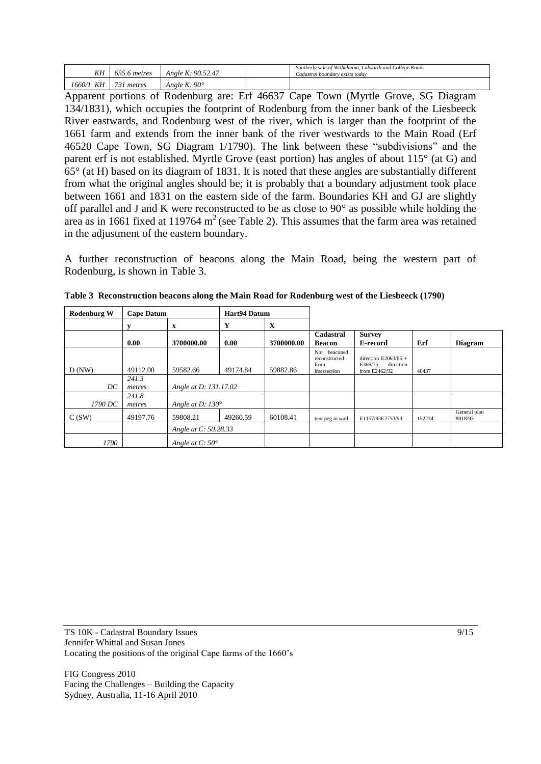| KΗ           | $ -$<br>655.6 metres | :: 90.52.47<br>Angle K:                |  | Southerly side of Wilhelmina.<br>Lulworth and College Roads.<br>exists today<br>Cadastral boundary |
|--------------|----------------------|----------------------------------------|--|----------------------------------------------------------------------------------------------------|
| KΗ<br>1660/' | metres               | $\therefore 90^{\circ}$<br>Angle<br>A. |  |                                                                                                    |

Apparent portions of Rodenburg are: Erf 46637 Cape Town (Myrtle Grove, SG Diagram 134/1831), which occupies the footprint of Rodenburg from the inner bank of the Liesbeeck River eastwards, and Rodenburg west of the river, which is larger than the footprint of the 1661 farm and extends from the inner bank of the river westwards to the Main Road (Erf 46520 Cape Town, SG Diagram 1/1790). The link between these "subdivisions" and the parent erf is not established. Myrtle Grove (east portion) has angles of about 115° (at G) and 65° (at H) based on its diagram of 1831. It is noted that these angles are substantially different from what the original angles should be; it is probably that a boundary adjustment took place between 1661 and 1831 on the eastern side of the farm. Boundaries KH and GJ are slightly off parallel and J and K were reconstructed to be as close to 90° as possible while holding the area as in 1661 fixed at 119764  $m^2$  (see [Table 2\)](#page-7-1). This assumes that the farm area was retained in the adjustment of the eastern boundary.

A further reconstruction of beacons along the Main Road, being the western part of Rodenburg, is shown in [Table 3.](#page-8-0)

| <b>Rodenburg W</b> | <b>Cape Datum</b> |                         | Hart94 Datum |            |                                                        |                                                             |        |                         |
|--------------------|-------------------|-------------------------|--------------|------------|--------------------------------------------------------|-------------------------------------------------------------|--------|-------------------------|
|                    |                   | x                       | Y            | X          |                                                        |                                                             |        |                         |
|                    |                   |                         |              |            | Cadastral                                              | <b>Survey</b>                                               |        |                         |
|                    | 0.00              | 3700000.00              | 0.00         | 3700000.00 | <b>Beacon</b>                                          | E-record                                                    | Erf    | <b>Diagram</b>          |
| D(NW)              | 49112.00          | 59582.66                | 49174.84     | 59882.86   | Not beaconed:<br>reconstructed<br>from<br>intersection | direction E2063/65 +<br>E369/75; direction<br>from E2462/92 | 46437  |                         |
|                    | 241.3             |                         |              |            |                                                        |                                                             |        |                         |
| DC                 | metres            | Angle at D: 131.17.02   |              |            |                                                        |                                                             |        |                         |
| 1790 DC            | 241.8<br>metres   | Angle at D: $130^\circ$ |              |            |                                                        |                                                             |        |                         |
| C(SW)              | 49197.76          | 59808.21                | 49260.59     | 60108.41   | tent peg in wall                                       | E1157/93E2753/93                                            | 152234 | General plan<br>8018/93 |
|                    |                   | Angle at C: 50.28.33    |              |            |                                                        |                                                             |        |                         |
| 1790               |                   | Angle at $C:50^\circ$   |              |            |                                                        |                                                             |        |                         |

<span id="page-8-0"></span>**Table 3 Reconstruction beacons along the Main Road for Rodenburg west of the Liesbeeck (1790)**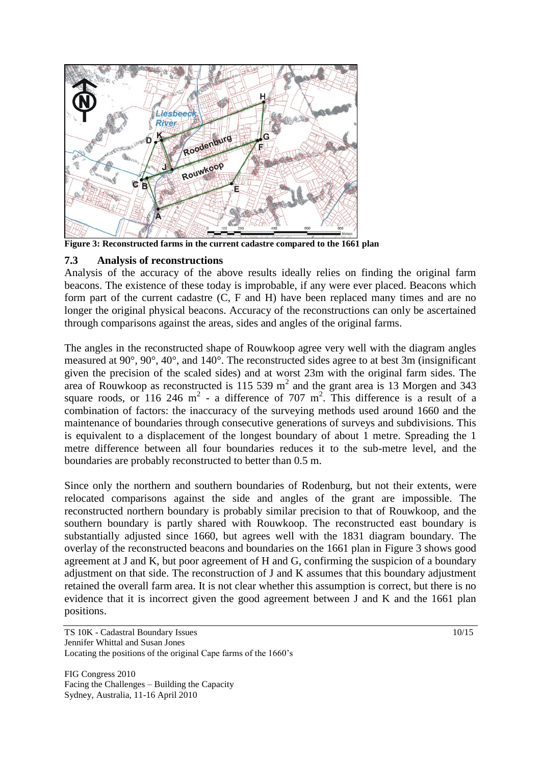

<span id="page-9-0"></span>**Figure 3: Reconstructed farms in the current cadastre compared to the 1661 plan**

## **7.3 Analysis of reconstructions**

Analysis of the accuracy of the above results ideally relies on finding the original farm beacons. The existence of these today is improbable, if any were ever placed. Beacons which form part of the current cadastre (C, F and H) have been replaced many times and are no longer the original physical beacons. Accuracy of the reconstructions can only be ascertained through comparisons against the areas, sides and angles of the original farms.

The angles in the reconstructed shape of Rouwkoop agree very well with the diagram angles measured at 90°, 90°, 40°, and 140°. The reconstructed sides agree to at best 3m (insignificant given the precision of the scaled sides) and at worst 23m with the original farm sides. The area of Rouwkoop as reconstructed is  $115,539 \text{ m}^2$  and the grant area is 13 Morgen and 343 square roods, or 116 246  $m^2$  - a difference of 707  $m^2$ . This difference is a result of a combination of factors: the inaccuracy of the surveying methods used around 1660 and the maintenance of boundaries through consecutive generations of surveys and subdivisions. This is equivalent to a displacement of the longest boundary of about 1 metre. Spreading the 1 metre difference between all four boundaries reduces it to the sub-metre level, and the boundaries are probably reconstructed to better than 0.5 m.

Since only the northern and southern boundaries of Rodenburg, but not their extents, were relocated comparisons against the side and angles of the grant are impossible. The reconstructed northern boundary is probably similar precision to that of Rouwkoop, and the southern boundary is partly shared with Rouwkoop. The reconstructed east boundary is substantially adjusted since 1660, but agrees well with the 1831 diagram boundary. The overlay of the reconstructed beacons and boundaries on the 1661 plan in [Figure 3](#page-9-0) shows good agreement at J and K, but poor agreement of H and G, confirming the suspicion of a boundary adjustment on that side. The reconstruction of J and K assumes that this boundary adjustment retained the overall farm area. It is not clear whether this assumption is correct, but there is no evidence that it is incorrect given the good agreement between J and K and the 1661 plan positions.

TS 10K - Cadastral Boundary Issues 10/15 Jennifer Whittal and Susan Jones Locating the positions of the original Cape farms of the 1660's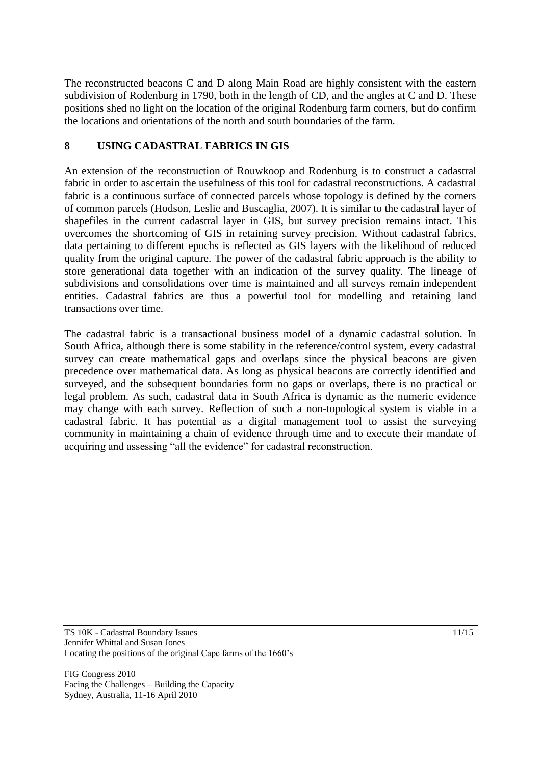The reconstructed beacons C and D along Main Road are highly consistent with the eastern subdivision of Rodenburg in 1790, both in the length of CD, and the angles at C and D. These positions shed no light on the location of the original Rodenburg farm corners, but do confirm the locations and orientations of the north and south boundaries of the farm.

## **8 USING CADASTRAL FABRICS IN GIS**

An extension of the reconstruction of Rouwkoop and Rodenburg is to construct a cadastral fabric in order to ascertain the usefulness of this tool for cadastral reconstructions. A cadastral fabric is a continuous surface of connected parcels whose topology is defined by the corners of common parcels (Hodson, Leslie and Buscaglia, 2007). It is similar to the cadastral layer of shapefiles in the current cadastral layer in GIS, but survey precision remains intact. This overcomes the shortcoming of GIS in retaining survey precision. Without cadastral fabrics, data pertaining to different epochs is reflected as GIS layers with the likelihood of reduced quality from the original capture. The power of the cadastral fabric approach is the ability to store generational data together with an indication of the survey quality. The lineage of subdivisions and consolidations over time is maintained and all surveys remain independent entities. Cadastral fabrics are thus a powerful tool for modelling and retaining land transactions over time.

The cadastral fabric is a transactional business model of a dynamic cadastral solution. In South Africa, although there is some stability in the reference/control system, every cadastral survey can create mathematical gaps and overlaps since the physical beacons are given precedence over mathematical data. As long as physical beacons are correctly identified and surveyed, and the subsequent boundaries form no gaps or overlaps, there is no practical or legal problem. As such, cadastral data in South Africa is dynamic as the numeric evidence may change with each survey. Reflection of such a non-topological system is viable in a cadastral fabric. It has potential as a digital management tool to assist the surveying community in maintaining a chain of evidence through time and to execute their mandate of acquiring and assessing "all the evidence" for cadastral reconstruction.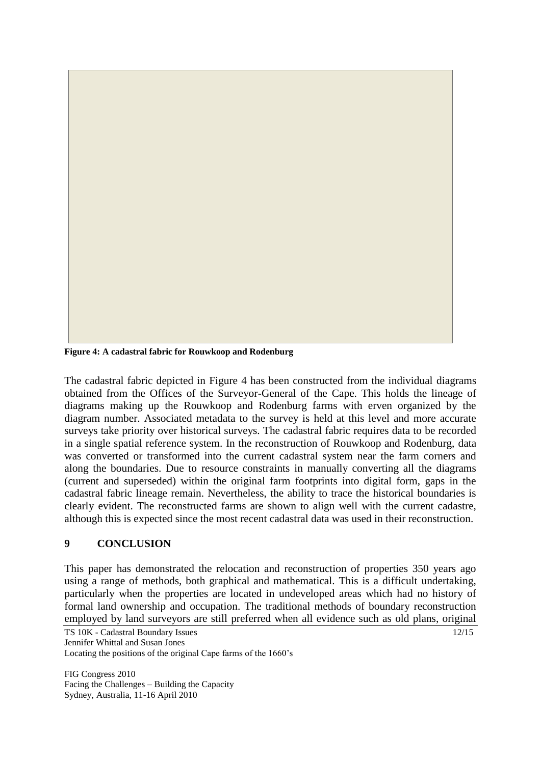

<span id="page-11-0"></span>**Figure 4: A cadastral fabric for Rouwkoop and Rodenburg**

The cadastral fabric depicted in [Figure 4](#page-11-0) has been constructed from the individual diagrams obtained from the Offices of the Surveyor-General of the Cape. This holds the lineage of diagrams making up the Rouwkoop and Rodenburg farms with erven organized by the diagram number. Associated metadata to the survey is held at this level and more accurate surveys take priority over historical surveys. The cadastral fabric requires data to be recorded in a single spatial reference system. In the reconstruction of Rouwkoop and Rodenburg, data was converted or transformed into the current cadastral system near the farm corners and along the boundaries. Due to resource constraints in manually converting all the diagrams (current and superseded) within the original farm footprints into digital form, gaps in the cadastral fabric lineage remain. Nevertheless, the ability to trace the historical boundaries is clearly evident. The reconstructed farms are shown to align well with the current cadastre, although this is expected since the most recent cadastral data was used in their reconstruction.

#### **9 CONCLUSION**

This paper has demonstrated the relocation and reconstruction of properties 350 years ago using a range of methods, both graphical and mathematical. This is a difficult undertaking, particularly when the properties are located in undeveloped areas which had no history of formal land ownership and occupation. The traditional methods of boundary reconstruction employed by land surveyors are still preferred when all evidence such as old plans, original

TS 10K - Cadastral Boundary Issues 12/15 Jennifer Whittal and Susan Jones Locating the positions of the original Cape farms of the 1660's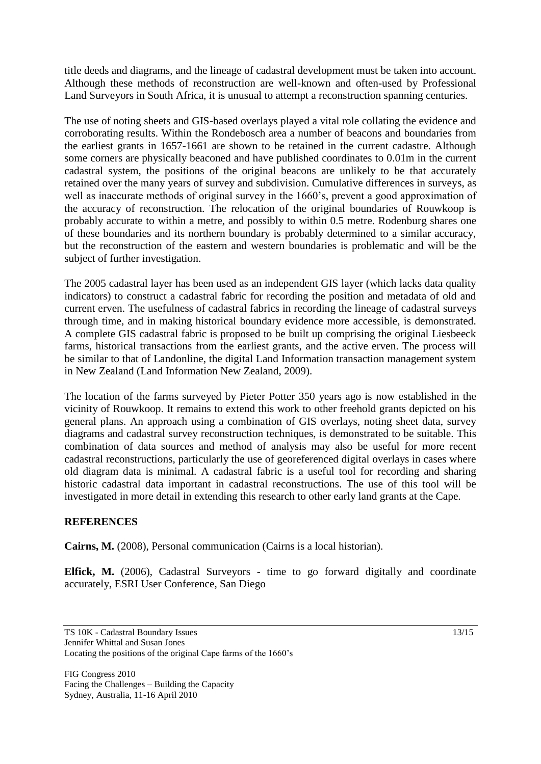title deeds and diagrams, and the lineage of cadastral development must be taken into account. Although these methods of reconstruction are well-known and often-used by Professional Land Surveyors in South Africa, it is unusual to attempt a reconstruction spanning centuries.

The use of noting sheets and GIS-based overlays played a vital role collating the evidence and corroborating results. Within the Rondebosch area a number of beacons and boundaries from the earliest grants in 1657-1661 are shown to be retained in the current cadastre. Although some corners are physically beaconed and have published coordinates to 0.01m in the current cadastral system, the positions of the original beacons are unlikely to be that accurately retained over the many years of survey and subdivision. Cumulative differences in surveys, as well as inaccurate methods of original survey in the 1660's, prevent a good approximation of the accuracy of reconstruction. The relocation of the original boundaries of Rouwkoop is probably accurate to within a metre, and possibly to within 0.5 metre. Rodenburg shares one of these boundaries and its northern boundary is probably determined to a similar accuracy, but the reconstruction of the eastern and western boundaries is problematic and will be the subject of further investigation.

The 2005 cadastral layer has been used as an independent GIS layer (which lacks data quality indicators) to construct a cadastral fabric for recording the position and metadata of old and current erven. The usefulness of cadastral fabrics in recording the lineage of cadastral surveys through time, and in making historical boundary evidence more accessible, is demonstrated. A complete GIS cadastral fabric is proposed to be built up comprising the original Liesbeeck farms, historical transactions from the earliest grants, and the active erven. The process will be similar to that of Landonline, the digital Land Information transaction management system in New Zealand (Land Information New Zealand, 2009).

The location of the farms surveyed by Pieter Potter 350 years ago is now established in the vicinity of Rouwkoop. It remains to extend this work to other freehold grants depicted on his general plans. An approach using a combination of GIS overlays, noting sheet data, survey diagrams and cadastral survey reconstruction techniques, is demonstrated to be suitable. This combination of data sources and method of analysis may also be useful for more recent cadastral reconstructions, particularly the use of georeferenced digital overlays in cases where old diagram data is minimal. A cadastral fabric is a useful tool for recording and sharing historic cadastral data important in cadastral reconstructions. The use of this tool will be investigated in more detail in extending this research to other early land grants at the Cape.

## **REFERENCES**

**Cairns, M.** (2008), Personal communication (Cairns is a local historian).

**Elfick, M.** (2006), Cadastral Surveyors - time to go forward digitally and coordinate accurately, ESRI User Conference, San Diego

TS 10K - Cadastral Boundary Issues 13/15 Jennifer Whittal and Susan Jones Locating the positions of the original Cape farms of the 1660's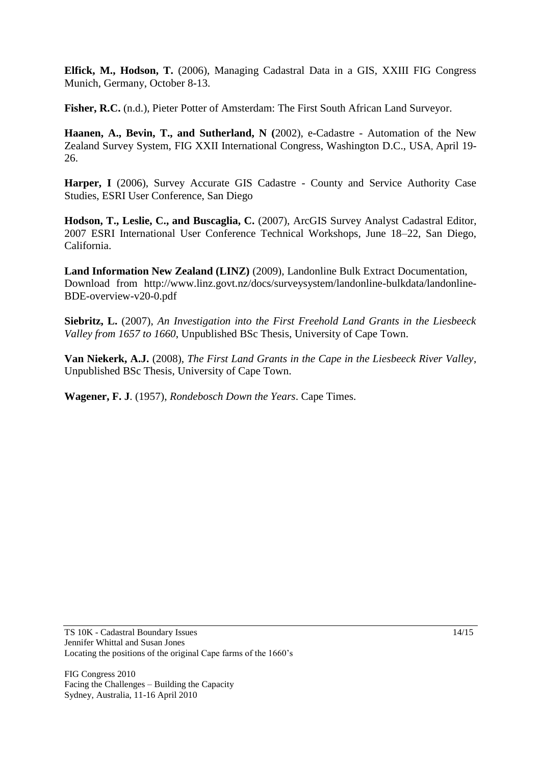**Elfick, M., Hodson, T.** (2006), Managing Cadastral Data in a GIS, XXIII FIG Congress Munich, Germany, October 8-13.

**Fisher, R.C.** (n.d.), Pieter Potter of Amsterdam: The First South African Land Surveyor.

**Haanen, A., Bevin, T., and Sutherland, N (**2002), e-Cadastre - Automation of the New Zealand Survey System, FIG XXII International Congress, Washington D.C., USA, April 19- 26.

**Harper, I** (2006), Survey Accurate GIS Cadastre - County and Service Authority Case Studies, ESRI User Conference, San Diego

**Hodson, T., Leslie, C., and Buscaglia, C.** (2007), ArcGIS Survey Analyst Cadastral Editor, 2007 ESRI International User Conference Technical Workshops, June 18–22, San Diego, California.

**Land Information New Zealand (LINZ)** (2009), Landonline Bulk Extract Documentation, Download from http://www.linz.govt.nz/docs/surveysystem/landonline-bulkdata/landonline-BDE-overview-v20-0.pdf

**Siebritz, L.** (2007), *An Investigation into the First Freehold Land Grants in the Liesbeeck Valley from 1657 to 1660*, Unpublished BSc Thesis, University of Cape Town.

**Van Niekerk, A.J.** (2008), *The First Land Grants in the Cape in the Liesbeeck River Valley*, Unpublished BSc Thesis, University of Cape Town.

**Wagener, F. J**. (1957), *Rondebosch Down the Years*. Cape Times.